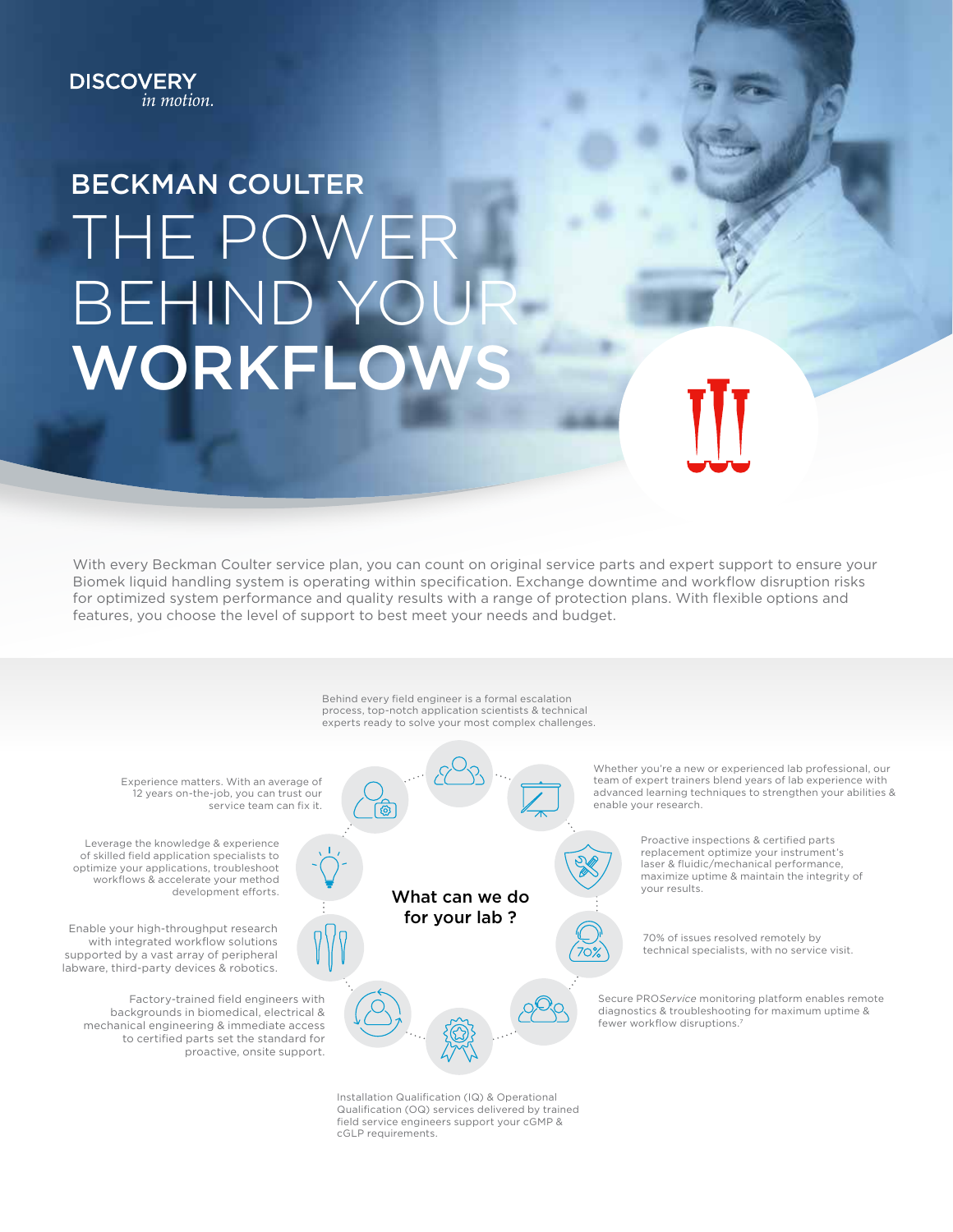## **DISCOVERY** in motion.

# BECKMAN COULTER THE POWER BEHIND YOUR WORKFLO

With every Beckman Coulter service plan, you can count on original service parts and expert support to ensure your Biomek liquid handling system is operating within specification. Exchange downtime and workflow disruption risks for optimized system performance and quality results with a range of protection plans. With flexible options and features, you choose the level of support to best meet your needs and budget.



Qualification (OQ) services delivered by trained field service engineers support your cGMP & cGLP requirements.